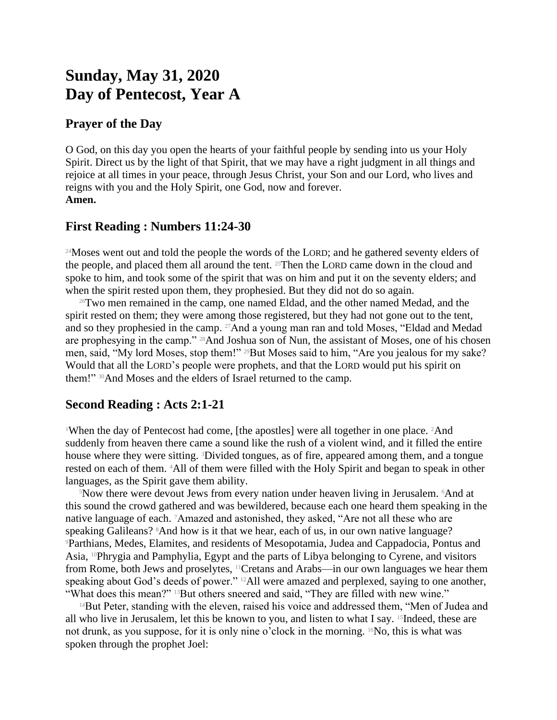# **Sunday, May 31, 2020 Day of Pentecost, Year A**

### **Prayer of the Day**

O God, on this day you open the hearts of your faithful people by sending into us your Holy Spirit. Direct us by the light of that Spirit, that we may have a right judgment in all things and rejoice at all times in your peace, through Jesus Christ, your Son and our Lord, who lives and reigns with you and the Holy Spirit, one God, now and forever. **Amen.**

## **First Reading : Numbers 11:24-30**

<sup>24</sup>Moses went out and told the people the words of the LORD; and he gathered seventy elders of the people, and placed them all around the tent. 25Then the LORD came down in the cloud and spoke to him, and took some of the spirit that was on him and put it on the seventy elders; and when the spirit rested upon them, they prophesied. But they did not do so again.

<sup>26</sup>Two men remained in the camp, one named Eldad, and the other named Medad, and the spirit rested on them; they were among those registered, but they had not gone out to the tent, and so they prophesied in the camp. 27And a young man ran and told Moses, "Eldad and Medad are prophesying in the camp." <sup>28</sup>And Joshua son of Nun, the assistant of Moses, one of his chosen men, said, "My lord Moses, stop them!" 29But Moses said to him, "Are you jealous for my sake? Would that all the LORD's people were prophets, and that the LORD would put his spirit on them!" <sup>30</sup>And Moses and the elders of Israel returned to the camp.

## **Second Reading : Acts 2:1-21**

<sup>1</sup>When the day of Pentecost had come, [the apostles] were all together in one place. <sup>2</sup>And suddenly from heaven there came a sound like the rush of a violent wind, and it filled the entire house where they were sitting. 3Divided tongues, as of fire, appeared among them, and a tongue rested on each of them. 4All of them were filled with the Holy Spirit and began to speak in other languages, as the Spirit gave them ability.

<sup>5</sup>Now there were devout Jews from every nation under heaven living in Jerusalem. 6And at this sound the crowd gathered and was bewildered, because each one heard them speaking in the native language of each. 7Amazed and astonished, they asked, "Are not all these who are speaking Galileans? <sup>8</sup>And how is it that we hear, each of us, in our own native language? <sup>9</sup>Parthians, Medes, Elamites, and residents of Mesopotamia, Judea and Cappadocia, Pontus and Asia, 10Phrygia and Pamphylia, Egypt and the parts of Libya belonging to Cyrene, and visitors from Rome, both Jews and proselytes, 11Cretans and Arabs—in our own languages we hear them speaking about God's deeds of power." 12All were amazed and perplexed, saying to one another, "What does this mean?" <sup>13</sup>But others sneered and said, "They are filled with new wine."

 $14$ But Peter, standing with the eleven, raised his voice and addressed them, "Men of Judea and all who live in Jerusalem, let this be known to you, and listen to what I say. 15Indeed, these are not drunk, as you suppose, for it is only nine o'clock in the morning.  $16N\sigma$ , this is what was spoken through the prophet Joel: